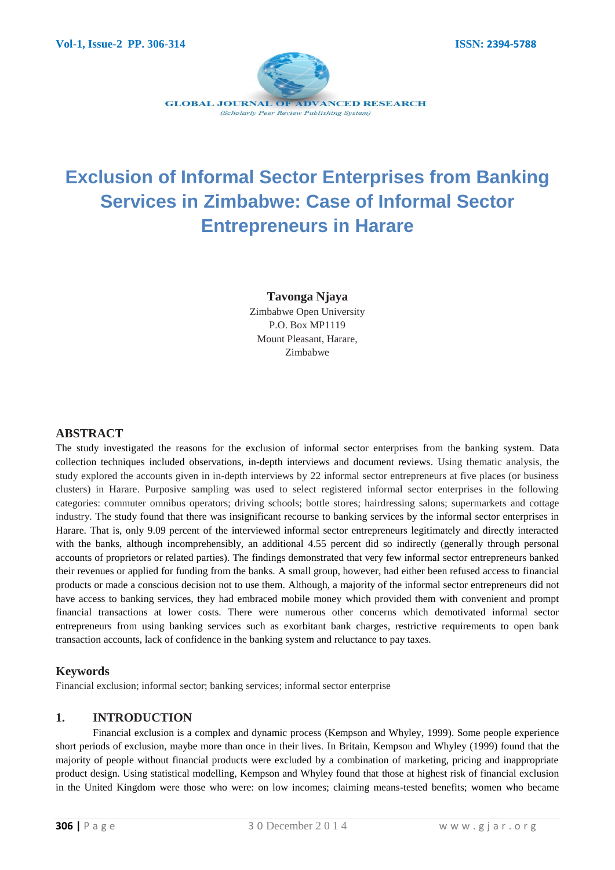

# **Exclusion of Informal Sector Enterprises from Banking Services in Zimbabwe: Case of Informal Sector Entrepreneurs in Harare**

**Tavonga Njaya**  Zimbabwe Open University P.O. Box MP1119 Mount Pleasant, Harare, Zimbabwe

#### **ABSTRACT**

The study investigated the reasons for the exclusion of informal sector enterprises from the banking system. Data collection techniques included observations, in-depth interviews and document reviews. Using thematic analysis, the study explored the accounts given in in-depth interviews by 22 informal sector entrepreneurs at five places (or business clusters) in Harare. Purposive sampling was used to select registered informal sector enterprises in the following categories: commuter omnibus operators; driving schools; bottle stores; hairdressing salons; supermarkets and cottage industry. The study found that there was insignificant recourse to banking services by the informal sector enterprises in Harare. That is, only 9.09 percent of the interviewed informal sector entrepreneurs legitimately and directly interacted with the banks, although incomprehensibly, an additional 4.55 percent did so indirectly (generally through personal accounts of proprietors or related parties). The findings demonstrated that very few informal sector entrepreneurs banked their revenues or applied for funding from the banks. A small group, however, had either been refused access to financial products or made a conscious decision not to use them. Although, a majority of the informal sector entrepreneurs did not have access to banking services, they had embraced mobile money which provided them with convenient and prompt financial transactions at lower costs. There were numerous other concerns which demotivated informal sector entrepreneurs from using banking services such as exorbitant bank charges, restrictive requirements to open bank transaction accounts, lack of confidence in the banking system and reluctance to pay taxes.

#### **Keywords**

Financial exclusion; informal sector; banking services; informal sector enterprise

#### **1. INTRODUCTION**

Financial exclusion is a complex and dynamic process (Kempson and Whyley, 1999). Some people experience short periods of exclusion, maybe more than once in their lives. In Britain, Kempson and Whyley (1999) found that the majority of people without financial products were excluded by a combination of marketing, pricing and inappropriate product design. Using statistical modelling, Kempson and Whyley found that those at highest risk of financial exclusion in the United Kingdom were those who were: on low incomes; claiming means-tested benefits; women who became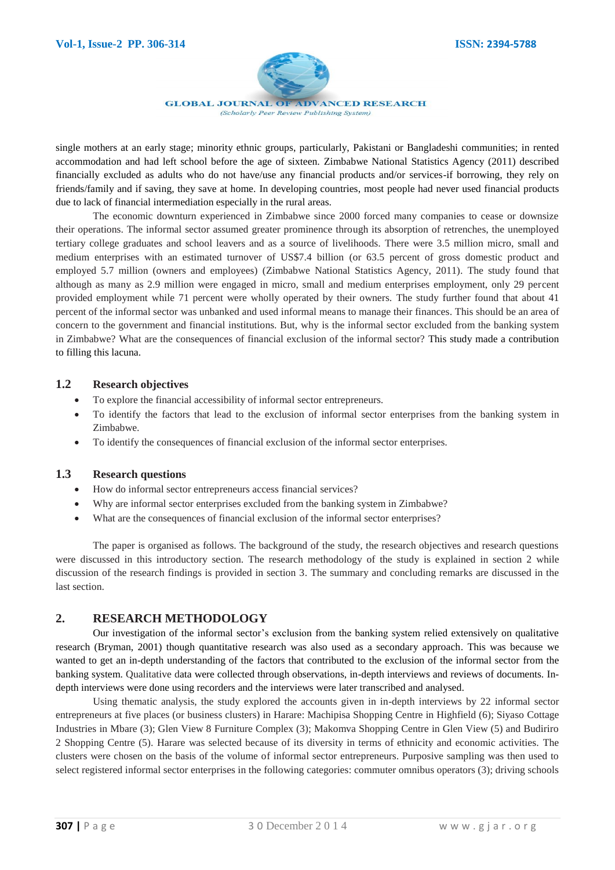

single mothers at an early stage; minority ethnic groups, particularly, Pakistani or Bangladeshi communities; in rented accommodation and had left school before the age of sixteen. Zimbabwe National Statistics Agency (2011) described financially excluded as adults who do not have/use any financial products and/or services-if borrowing, they rely on friends/family and if saving, they save at home. In developing countries, most people had never used financial products due to lack of financial intermediation especially in the rural areas.

The economic downturn experienced in Zimbabwe since 2000 forced many companies to cease or downsize their operations. The informal sector assumed greater prominence through its absorption of retrenches, the unemployed tertiary college graduates and school leavers and as a source of livelihoods. There were 3.5 million micro, small and medium enterprises with an estimated turnover of US\$7.4 billion (or 63.5 percent of gross domestic product and employed 5.7 million (owners and employees) (Zimbabwe National Statistics Agency, 2011). The study found that although as many as 2.9 million were engaged in micro, small and medium enterprises employment, only 29 percent provided employment while 71 percent were wholly operated by their owners. The study further found that about 41 percent of the informal sector was unbanked and used informal means to manage their finances. This should be an area of concern to the government and financial institutions. But, why is the informal sector excluded from the banking system in Zimbabwe? What are the consequences of financial exclusion of the informal sector? This study made a contribution to filling this lacuna.

#### **1.2 Research objectives**

- To explore the financial accessibility of informal sector entrepreneurs.
- To identify the factors that lead to the exclusion of informal sector enterprises from the banking system in Zimbabwe.
- To identify the consequences of financial exclusion of the informal sector enterprises.

#### **1.3 Research questions**

- How do informal sector entrepreneurs access financial services?
- Why are informal sector enterprises excluded from the banking system in Zimbabwe?
- What are the consequences of financial exclusion of the informal sector enterprises?

The paper is organised as follows. The background of the study, the research objectives and research questions were discussed in this introductory section. The research methodology of the study is explained in section 2 while discussion of the research findings is provided in section 3. The summary and concluding remarks are discussed in the last section.

#### **2. RESEARCH METHODOLOGY**

Our investigation of the informal sector's exclusion from the banking system relied extensively on qualitative research (Bryman, 2001) though quantitative research was also used as a secondary approach. This was because we wanted to get an in-depth understanding of the factors that contributed to the exclusion of the informal sector from the banking system. Qualitative data were collected through observations, in-depth interviews and reviews of documents. Indepth interviews were done using recorders and the interviews were later transcribed and analysed.

Using thematic analysis, the study explored the accounts given in in-depth interviews by 22 informal sector entrepreneurs at five places (or business clusters) in Harare: Machipisa Shopping Centre in Highfield (6); Siyaso Cottage Industries in Mbare (3); Glen View 8 Furniture Complex (3); Makomva Shopping Centre in Glen View (5) and Budiriro 2 Shopping Centre (5). Harare was selected because of its diversity in terms of ethnicity and economic activities. The clusters were chosen on the basis of the volume of informal sector entrepreneurs. Purposive sampling was then used to select registered informal sector enterprises in the following categories: commuter omnibus operators (3); driving schools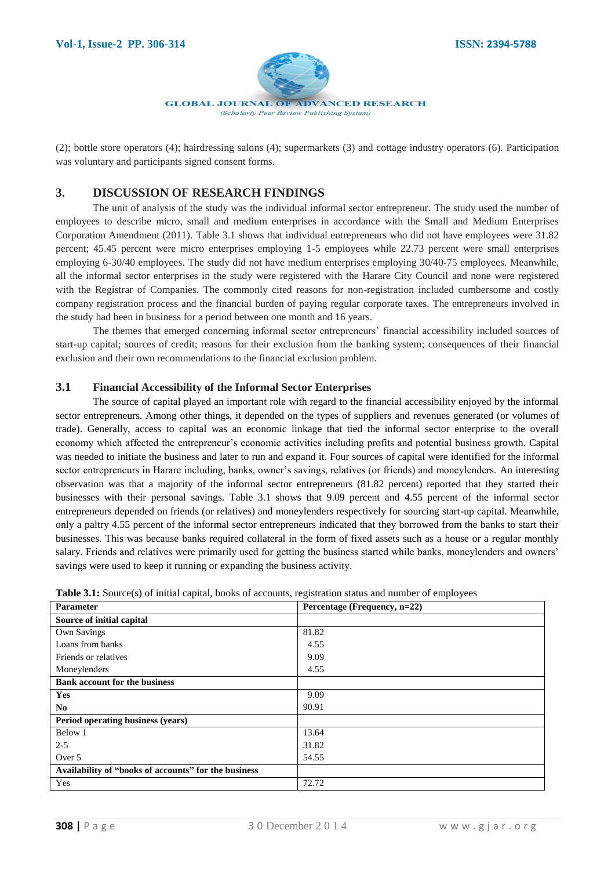

(2); bottle store operators (4); hairdressing salons (4); supermarkets (3) and cottage industry operators (6). Participation was voluntary and participants signed consent forms.

# **3. DISCUSSION OF RESEARCH FINDINGS**

The unit of analysis of the study was the individual informal sector entrepreneur. The study used the number of employees to describe micro, small and medium enterprises in accordance with the Small and Medium Enterprises Corporation Amendment (2011). Table 3.1 shows that individual entrepreneurs who did not have employees were 31.82 percent; 45.45 percent were micro enterprises employing 1-5 employees while 22.73 percent were small enterprises employing 6-30/40 employees. The study did not have medium enterprises employing 30/40-75 employees. Meanwhile, all the informal sector enterprises in the study were registered with the Harare City Council and none were registered with the Registrar of Companies. The commonly cited reasons for non-registration included cumbersome and costly company registration process and the financial burden of paying regular corporate taxes. The entrepreneurs involved in the study had been in business for a period between one month and 16 years.

The themes that emerged concerning informal sector entrepreneurs' financial accessibility included sources of start-up capital; sources of credit; reasons for their exclusion from the banking system; consequences of their financial exclusion and their own recommendations to the financial exclusion problem.

#### **3.1 Financial Accessibility of the Informal Sector Enterprises**

The source of capital played an important role with regard to the financial accessibility enjoyed by the informal sector entrepreneurs. Among other things, it depended on the types of suppliers and revenues generated (or volumes of trade). Generally, access to capital was an economic linkage that tied the informal sector enterprise to the overall economy which affected the entrepreneur's economic activities including profits and potential business growth. Capital was needed to initiate the business and later to run and expand it. Four sources of capital were identified for the informal sector entrepreneurs in Harare including, banks, owner's savings, relatives (or friends) and moneylenders. An interesting observation was that a majority of the informal sector entrepreneurs (81.82 percent) reported that they started their businesses with their personal savings. Table 3.1 shows that 9.09 percent and 4.55 percent of the informal sector entrepreneurs depended on friends (or relatives) and moneylenders respectively for sourcing start-up capital. Meanwhile, only a paltry 4.55 percent of the informal sector entrepreneurs indicated that they borrowed from the banks to start their businesses. This was because banks required collateral in the form of fixed assets such as a house or a regular monthly salary. Friends and relatives were primarily used for getting the business started while banks, moneylenders and owners' savings were used to keep it running or expanding the business activity.

| Parameter                                            | Percentage (Frequency, n=22) |
|------------------------------------------------------|------------------------------|
| Source of initial capital                            |                              |
| <b>Own Savings</b>                                   | 81.82                        |
| Loans from banks                                     | 4.55                         |
| Friends or relatives                                 | 9.09                         |
| Moneylenders                                         | 4.55                         |
| <b>Bank account for the business</b>                 |                              |
| Yes                                                  | 9.09                         |
| N <sub>0</sub>                                       | 90.91                        |
| Period operating business (years)                    |                              |
| Below 1                                              | 13.64                        |
| $2 - 5$                                              | 31.82                        |
| Over 5                                               | 54.55                        |
| Availability of "books of accounts" for the business |                              |
| Yes                                                  | 72.72                        |

Table 3.1: Source(s) of initial capital, books of accounts, registration status and number of employees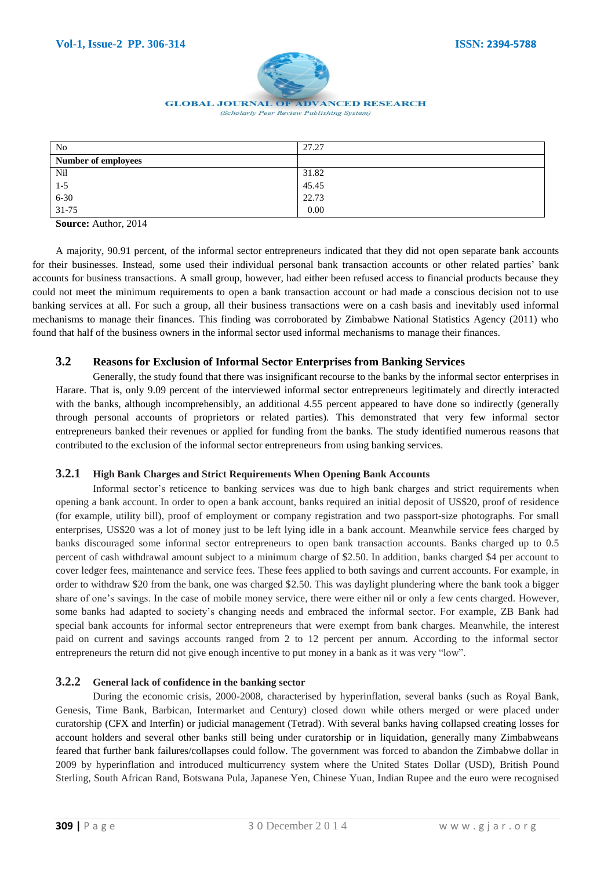

# **GLOBAL JOURNAL OF ADVANCED RESEARCH**

| N <sub>o</sub>             | 27.27 |
|----------------------------|-------|
| <b>Number of employees</b> |       |
| Nil                        | 31.82 |
| $1 - 5$                    | 45.45 |
| $6 - 30$                   | 22.73 |
| $31 - 75$                  | 0.00  |

**Source:** Author, 2014

A majority, 90.91 percent, of the informal sector entrepreneurs indicated that they did not open separate bank accounts for their businesses. Instead, some used their individual personal bank transaction accounts or other related parties' bank accounts for business transactions. A small group, however, had either been refused access to financial products because they could not meet the minimum requirements to open a bank transaction account or had made a conscious decision not to use banking services at all. For such a group, all their business transactions were on a cash basis and inevitably used informal mechanisms to manage their finances. This finding was corroborated by Zimbabwe National Statistics Agency (2011) who found that half of the business owners in the informal sector used informal mechanisms to manage their finances.

#### **3.2 Reasons for Exclusion of Informal Sector Enterprises from Banking Services**

Generally, the study found that there was insignificant recourse to the banks by the informal sector enterprises in Harare. That is, only 9.09 percent of the interviewed informal sector entrepreneurs legitimately and directly interacted with the banks, although incomprehensibly, an additional 4.55 percent appeared to have done so indirectly (generally through personal accounts of proprietors or related parties). This demonstrated that very few informal sector entrepreneurs banked their revenues or applied for funding from the banks. The study identified numerous reasons that contributed to the exclusion of the informal sector entrepreneurs from using banking services.

#### **3.2.1 High Bank Charges and Strict Requirements When Opening Bank Accounts**

Informal sector's reticence to banking services was due to high bank charges and strict requirements when opening a bank account. In order to open a bank account, banks required an initial deposit of US\$20, proof of residence (for example, utility bill), proof of employment or company registration and two passport-size photographs. For small enterprises, US\$20 was a lot of money just to be left lying idle in a bank account. Meanwhile service fees charged by banks discouraged some informal sector entrepreneurs to open bank transaction accounts. Banks charged up to 0.5 percent of cash withdrawal amount subject to a minimum charge of \$2.50. In addition, banks charged \$4 per account to cover ledger fees, maintenance and service fees. These fees applied to both savings and current accounts. For example, in order to withdraw \$20 from the bank, one was charged \$2.50. This was daylight plundering where the bank took a bigger share of one's savings. In the case of mobile money service, there were either nil or only a few cents charged. However, some banks had adapted to society's changing needs and embraced the informal sector. For example, ZB Bank had special bank accounts for informal sector entrepreneurs that were exempt from bank charges. Meanwhile, the interest paid on current and savings accounts ranged from 2 to 12 percent per annum. According to the informal sector entrepreneurs the return did not give enough incentive to put money in a bank as it was very "low".

# **3.2.2 General lack of confidence in the banking sector**

During the economic crisis, 2000-2008, characterised by hyperinflation, several banks (such as Royal Bank, Genesis, Time Bank, Barbican, Intermarket and Century) closed down while others merged or were placed under curatorship (CFX and Interfin) or judicial management (Tetrad). With several banks having collapsed creating losses for account holders and several other banks still being under curatorship or in liquidation, generally many Zimbabweans feared that further bank failures/collapses could follow. The government was forced to abandon the Zimbabwe dollar in 2009 by hyperinflation and introduced multicurrency system where the United States Dollar (USD), British Pound Sterling, South African Rand, Botswana Pula, Japanese Yen, Chinese Yuan, Indian Rupee and the euro were recognised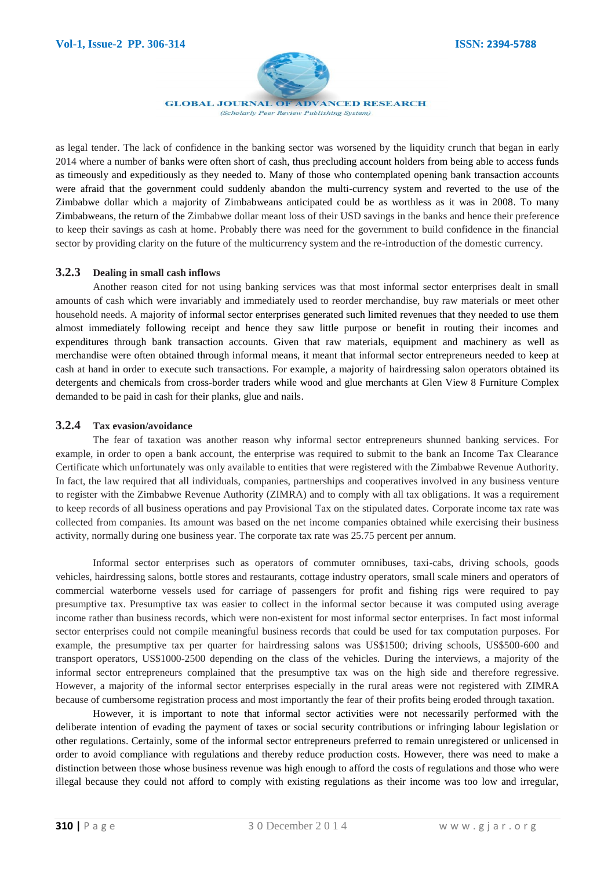

as legal tender. The lack of confidence in the banking sector was worsened by the liquidity crunch that began in early 2014 where a number of banks were often short of cash, thus precluding account holders from being able to access funds as timeously and expeditiously as they needed to. Many of those who contemplated opening bank transaction accounts were afraid that the government could suddenly abandon the multi-currency system and reverted to the use of the Zimbabwe dollar which a majority of Zimbabweans anticipated could be as worthless as it was in 2008. To many Zimbabweans, the return of the Zimbabwe dollar meant loss of their USD savings in the banks and hence their preference to keep their savings as cash at home. Probably there was need for the government to build confidence in the financial sector by providing clarity on the future of the multicurrency system and the re-introduction of the domestic currency.

#### **3.2.3 Dealing in small cash inflows**

Another reason cited for not using banking services was that most informal sector enterprises dealt in small amounts of cash which were invariably and immediately used to reorder merchandise, buy raw materials or meet other household needs. A majority of informal sector enterprises generated such limited revenues that they needed to use them almost immediately following receipt and hence they saw little purpose or benefit in routing their incomes and expenditures through bank transaction accounts. Given that raw materials, equipment and machinery as well as merchandise were often obtained through informal means, it meant that informal sector entrepreneurs needed to keep at cash at hand in order to execute such transactions. For example, a majority of hairdressing salon operators obtained its detergents and chemicals from cross-border traders while wood and glue merchants at Glen View 8 Furniture Complex demanded to be paid in cash for their planks, glue and nails.

#### **3.2.4 Tax evasion/avoidance**

The fear of taxation was another reason why informal sector entrepreneurs shunned banking services. For example, in order to open a bank account, the enterprise was required to submit to the bank an Income Tax Clearance Certificate which unfortunately was only available to entities that were registered with the Zimbabwe Revenue Authority. In fact, the law required that all individuals, companies, partnerships and cooperatives involved in any business venture to register with the Zimbabwe Revenue Authority (ZIMRA) and to comply with all tax obligations. It was a requirement to keep records of all business operations and pay Provisional Tax on the stipulated dates. Corporate income tax rate was collected from companies. Its amount was based on the net income companies obtained while exercising their business activity, normally during one business year. The corporate tax rate was 25.75 percent per annum.

Informal sector enterprises such as operators of commuter omnibuses, taxi-cabs, driving schools, goods vehicles, hairdressing salons, bottle stores and restaurants, cottage industry operators, small scale miners and operators of commercial waterborne vessels used for carriage of passengers for profit and fishing rigs were required to pay presumptive tax. Presumptive tax was easier to collect in the informal sector because it was computed using average income rather than business records, which were non-existent for most informal sector enterprises. In fact most informal sector enterprises could not compile meaningful business records that could be used for tax computation purposes. For example, the presumptive tax per quarter for hairdressing salons was US\$1500; driving schools, US\$500-600 and transport operators, US\$1000-2500 depending on the class of the vehicles. During the interviews, a majority of the informal sector entrepreneurs complained that the presumptive tax was on the high side and therefore regressive. However, a majority of the informal sector enterprises especially in the rural areas were not registered with ZIMRA because of cumbersome registration process and most importantly the fear of their profits being eroded through taxation.

However, it is important to note that informal sector activities were not necessarily performed with the deliberate intention of evading the payment of taxes or social security contributions or infringing labour legislation or other regulations. Certainly, some of the informal sector entrepreneurs preferred to remain unregistered or unlicensed in order to avoid compliance with regulations and thereby reduce production costs. However, there was need to make a distinction between those whose business revenue was high enough to afford the costs of regulations and those who were illegal because they could not afford to comply with existing regulations as their income was too low and irregular,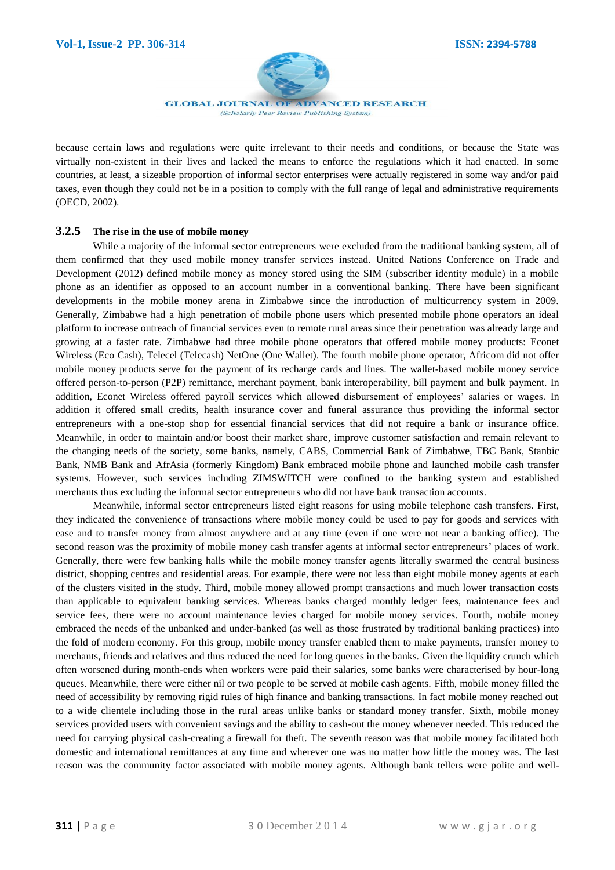

because certain laws and regulations were quite irrelevant to their needs and conditions, or because the State was virtually non-existent in their lives and lacked the means to enforce the regulations which it had enacted. In some countries, at least, a sizeable proportion of informal sector enterprises were actually registered in some way and/or paid taxes, even though they could not be in a position to comply with the full range of legal and administrative requirements (OECD, 2002).

#### **3.2.5 The rise in the use of mobile money**

While a majority of the informal sector entrepreneurs were excluded from the traditional banking system, all of them confirmed that they used mobile money transfer services instead. United Nations Conference on Trade and Development (2012) defined mobile money as money stored using the SIM (subscriber identity module) in a mobile phone as an identifier as opposed to an account number in a conventional banking. There have been significant developments in the mobile money arena in Zimbabwe since the introduction of multicurrency system in 2009. Generally, Zimbabwe had a high penetration of mobile phone users which presented mobile phone operators an ideal platform to increase outreach of financial services even to remote rural areas since their penetration was already large and growing at a faster rate. Zimbabwe had three mobile phone operators that offered mobile money products: Econet Wireless (Eco Cash), Telecel (Telecash) NetOne (One Wallet). The fourth mobile phone operator, Africom did not offer mobile money products serve for the payment of its recharge cards and lines. The wallet-based mobile money service offered person-to-person (P2P) remittance, merchant payment, bank interoperability, bill payment and bulk payment. In addition, Econet Wireless offered payroll services which allowed disbursement of employees' salaries or wages. In addition it offered small credits, health insurance cover and funeral assurance thus providing the informal sector entrepreneurs with a one-stop shop for essential financial services that did not require a bank or insurance office. Meanwhile, in order to maintain and/or boost their market share, improve customer satisfaction and remain relevant to the changing needs of the society, some banks, namely, CABS, Commercial Bank of Zimbabwe, FBC Bank, Stanbic Bank, NMB Bank and AfrAsia (formerly Kingdom) Bank embraced mobile phone and launched mobile cash transfer systems. However, such services including ZIMSWITCH were confined to the banking system and established merchants thus excluding the informal sector entrepreneurs who did not have bank transaction accounts.

Meanwhile, informal sector entrepreneurs listed eight reasons for using mobile telephone cash transfers. First, they indicated the convenience of transactions where mobile money could be used to pay for goods and services with ease and to transfer money from almost anywhere and at any time (even if one were not near a banking office). The second reason was the proximity of mobile money cash transfer agents at informal sector entrepreneurs' places of work. Generally, there were few banking halls while the mobile money transfer agents literally swarmed the central business district, shopping centres and residential areas. For example, there were not less than eight mobile money agents at each of the clusters visited in the study. Third, mobile money allowed prompt transactions and much lower transaction costs than applicable to equivalent banking services. Whereas banks charged monthly ledger fees, maintenance fees and service fees, there were no account maintenance levies charged for mobile money services. Fourth, mobile money embraced the needs of the unbanked and under-banked (as well as those frustrated by traditional banking practices) into the fold of modern economy. For this group, mobile money transfer enabled them to make payments, transfer money to merchants, friends and relatives and thus reduced the need for long queues in the banks. Given the liquidity crunch which often worsened during month-ends when workers were paid their salaries, some banks were characterised by hour-long queues. Meanwhile, there were either nil or two people to be served at mobile cash agents. Fifth, mobile money filled the need of accessibility by removing rigid rules of high finance and banking transactions. In fact mobile money reached out to a wide clientele including those in the rural areas unlike banks or standard money transfer. Sixth, mobile money services provided users with convenient savings and the ability to cash-out the money whenever needed. This reduced the need for carrying physical cash-creating a firewall for theft. The seventh reason was that mobile money facilitated both domestic and international remittances at any time and wherever one was no matter how little the money was. The last reason was the community factor associated with mobile money agents. Although bank tellers were polite and well-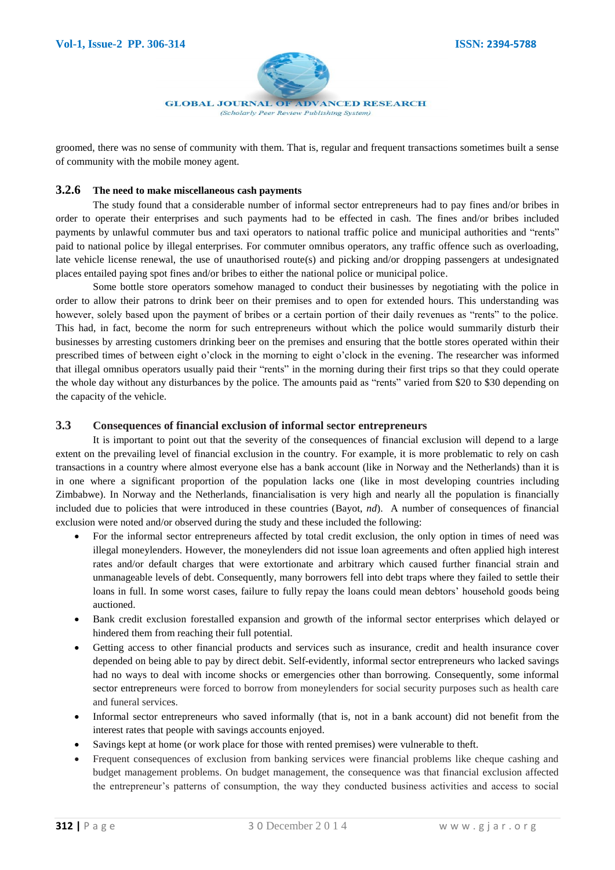

groomed, there was no sense of community with them. That is, regular and frequent transactions sometimes built a sense of community with the mobile money agent.

#### **3.2.6 The need to make miscellaneous cash payments**

The study found that a considerable number of informal sector entrepreneurs had to pay fines and/or bribes in order to operate their enterprises and such payments had to be effected in cash. The fines and/or bribes included payments by unlawful commuter bus and taxi operators to national traffic police and municipal authorities and "rents" paid to national police by illegal enterprises. For commuter omnibus operators, any traffic offence such as overloading, late vehicle license renewal, the use of unauthorised route(s) and picking and/or dropping passengers at undesignated places entailed paying spot fines and/or bribes to either the national police or municipal police.

Some bottle store operators somehow managed to conduct their businesses by negotiating with the police in order to allow their patrons to drink beer on their premises and to open for extended hours. This understanding was however, solely based upon the payment of bribes or a certain portion of their daily revenues as "rents" to the police. This had, in fact, become the norm for such entrepreneurs without which the police would summarily disturb their businesses by arresting customers drinking beer on the premises and ensuring that the bottle stores operated within their prescribed times of between eight o'clock in the morning to eight o'clock in the evening. The researcher was informed that illegal omnibus operators usually paid their "rents" in the morning during their first trips so that they could operate the whole day without any disturbances by the police. The amounts paid as "rents" varied from \$20 to \$30 depending on the capacity of the vehicle.

#### **3.3 Consequences of financial exclusion of informal sector entrepreneurs**

It is important to point out that the severity of the consequences of financial exclusion will depend to a large extent on the prevailing level of financial exclusion in the country. For example, it is more problematic to rely on cash transactions in a country where almost everyone else has a bank account (like in Norway and the Netherlands) than it is in one where a significant proportion of the population lacks one (like in most developing countries including Zimbabwe). In Norway and the Netherlands, financialisation is very high and nearly all the population is financially included due to policies that were introduced in these countries (Bayot, *nd*). A number of consequences of financial exclusion were noted and/or observed during the study and these included the following:

- For the informal sector entrepreneurs affected by total credit exclusion, the only option in times of need was illegal moneylenders. However, the moneylenders did not issue loan agreements and often applied high interest rates and/or default charges that were extortionate and arbitrary which caused further financial strain and unmanageable levels of debt. Consequently, many borrowers fell into debt traps where they failed to settle their loans in full. In some worst cases, failure to fully repay the loans could mean debtors' household goods being auctioned.
- Bank credit exclusion forestalled expansion and growth of the informal sector enterprises which delayed or hindered them from reaching their full potential.
- Getting access to other financial products and services such as insurance, credit and health insurance cover depended on being able to pay by direct debit. Self-evidently, informal sector entrepreneurs who lacked savings had no ways to deal with income shocks or emergencies other than borrowing. Consequently, some informal sector entrepreneurs were forced to borrow from moneylenders for social security purposes such as health care and funeral services.
- Informal sector entrepreneurs who saved informally (that is, not in a bank account) did not benefit from the interest rates that people with savings accounts enjoyed.
- Savings kept at home (or work place for those with rented premises) were vulnerable to theft.
- Frequent consequences of exclusion from banking services were financial problems like cheque cashing and budget management problems. On budget management, the consequence was that financial exclusion affected the entrepreneur's patterns of consumption, the way they conducted business activities and access to social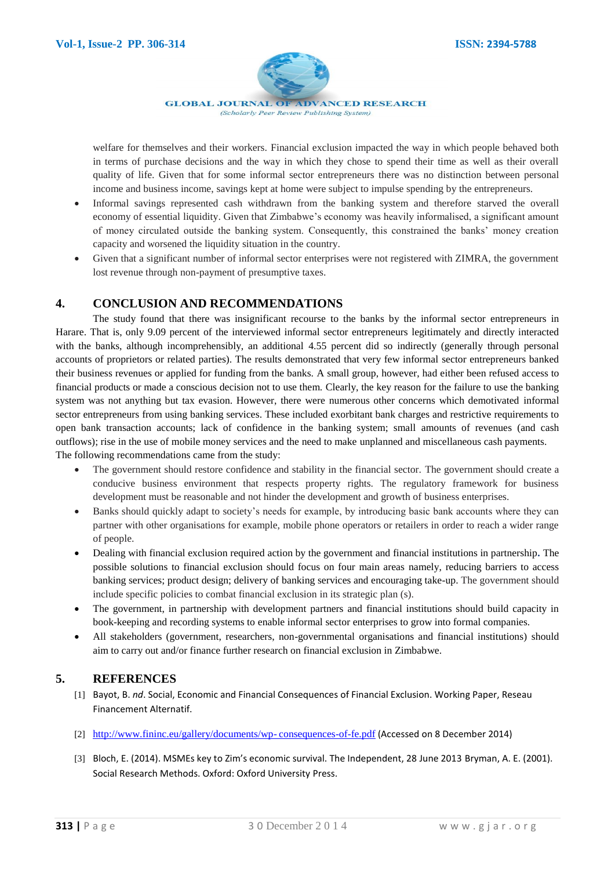

welfare for themselves and their workers. Financial exclusion impacted the way in which people behaved both in terms of purchase decisions and the way in which they chose to spend their time as well as their overall quality of life. Given that for some informal sector entrepreneurs there was no distinction between personal income and business income, savings kept at home were subject to impulse spending by the entrepreneurs.

- Informal savings represented cash withdrawn from the banking system and therefore starved the overall economy of essential liquidity. Given that Zimbabwe's economy was heavily informalised, a significant amount of money circulated outside the banking system. Consequently, this constrained the banks' money creation capacity and worsened the liquidity situation in the country.
- Given that a significant number of informal sector enterprises were not registered with ZIMRA, the government lost revenue through non-payment of presumptive taxes.

# **4. CONCLUSION AND RECOMMENDATIONS**

The study found that there was insignificant recourse to the banks by the informal sector entrepreneurs in Harare. That is, only 9.09 percent of the interviewed informal sector entrepreneurs legitimately and directly interacted with the banks, although incomprehensibly, an additional 4.55 percent did so indirectly (generally through personal accounts of proprietors or related parties). The results demonstrated that very few informal sector entrepreneurs banked their business revenues or applied for funding from the banks. A small group, however, had either been refused access to financial products or made a conscious decision not to use them. Clearly, the key reason for the failure to use the banking system was not anything but tax evasion. However, there were numerous other concerns which demotivated informal sector entrepreneurs from using banking services. These included exorbitant bank charges and restrictive requirements to open bank transaction accounts; lack of confidence in the banking system; small amounts of revenues (and cash outflows); rise in the use of mobile money services and the need to make unplanned and miscellaneous cash payments. The following recommendations came from the study:

- The government should restore confidence and stability in the financial sector. The government should create a conducive business environment that respects property rights. The regulatory framework for business development must be reasonable and not hinder the development and growth of business enterprises.
- Banks should quickly adapt to society's needs for example, by introducing basic bank accounts where they can partner with other organisations for example, mobile phone operators or retailers in order to reach a wider range of people.
- Dealing with financial exclusion required action by the government and financial institutions in partnership**.** The possible solutions to financial exclusion should focus on four main areas namely, reducing barriers to access banking services; product design; delivery of banking services and encouraging take-up. The government should include specific policies to combat financial exclusion in its strategic plan (s).
- The government, in partnership with development partners and financial institutions should build capacity in book-keeping and recording systems to enable informal sector enterprises to grow into formal companies.
- All stakeholders (government, researchers, non-governmental organisations and financial institutions) should aim to carry out and/or finance further research on financial exclusion in Zimbabwe.

# **5. REFERENCES**

- [1] Bayot, B. *nd*. Social, Economic and Financial Consequences of Financial Exclusion. Working Paper, Reseau Financement Alternatif.
- [2] [http://www.fininc.eu/gallery/documents/wp-](http://www.fininc.eu/gallery/documents/wp-%09consequences-of-fe.pdf) consequences-of-fe.pdf (Accessed on 8 December 2014)
- [3] Bloch, E. (2014). MSMEs key to Zim's economic survival. The Independent, 28 June 2013 Bryman, A. E. (2001). Social Research Methods. Oxford: Oxford University Press.